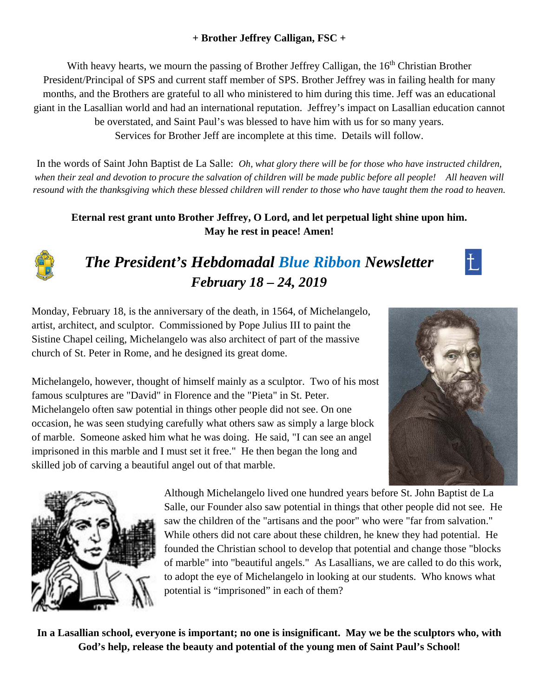# **+ Brother Jeffrey Calligan, FSC +**

With heavy hearts, we mourn the passing of Brother Jeffrey Calligan, the 16<sup>th</sup> Christian Brother President/Principal of SPS and current staff member of SPS. Brother Jeffrey was in failing health for many months, and the Brothers are grateful to all who ministered to him during this time. Jeff was an educational giant in the Lasallian world and had an international reputation. Jeffrey's impact on Lasallian education cannot be overstated, and Saint Paul's was blessed to have him with us for so many years. Services for Brother Jeff are incomplete at this time. Details will follow.

In the words of Saint John Baptist de La Salle: *Oh, what glory there will be for those who have instructed children, when their zeal and devotion to procure the salvation of children will be made public before all people! All heaven will resound with the thanksgiving which these blessed children will render to those who have taught them the road to heaven.* 

**Eternal rest grant unto Brother Jeffrey, O Lord, and let perpetual light shine upon him. May he rest in peace! Amen!** 



# *The President's Hebdomadal Blue Ribbon Newsletter February 18 – 24, 2019*



Monday, February 18, is the anniversary of the death, in 1564, of Michelangelo, artist, architect, and sculptor. Commissioned by Pope Julius III to paint the Sistine Chapel ceiling, Michelangelo was also architect of part of the massive church of St. Peter in Rome, and he designed its great dome.

Michelangelo, however, thought of himself mainly as a sculptor. Two of his most famous sculptures are "David" in Florence and the "Pieta" in St. Peter. Michelangelo often saw potential in things other people did not see. On one occasion, he was seen studying carefully what others saw as simply a large block of marble. Someone asked him what he was doing. He said, "I can see an angel imprisoned in this marble and I must set it free." He then began the long and skilled job of carving a beautiful angel out of that marble.





Although Michelangelo lived one hundred years before St. John Baptist de La Salle, our Founder also saw potential in things that other people did not see. He saw the children of the "artisans and the poor" who were "far from salvation." While others did not care about these children, he knew they had potential. He founded the Christian school to develop that potential and change those "blocks of marble" into "beautiful angels." As Lasallians, we are called to do this work, to adopt the eye of Michelangelo in looking at our students. Who knows what potential is "imprisoned" in each of them?

**In a Lasallian school, everyone is important; no one is insignificant. May we be the sculptors who, with God's help, release the beauty and potential of the young men of Saint Paul's School!**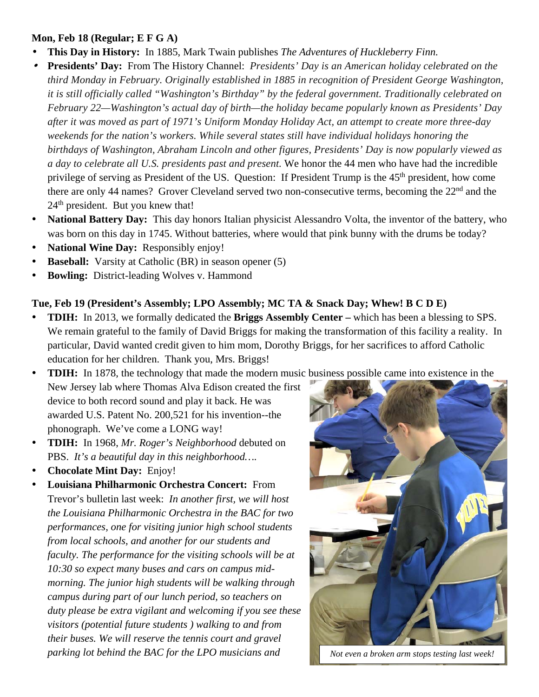#### **Mon, Feb 18 (Regular; E F G A)**

- w **This Day in History:** In 1885, Mark Twain publishes *The Adventures of Huckleberry Finn.*
- w **Presidents' Day:** From The History Channel: *Presidents' Day is an American holiday celebrated on the third Monday in February. Originally established in 1885 in recognition of President George Washington, it is still officially called "Washington's Birthday" by the federal government. Traditionally celebrated on February 22—Washington's actual day of birth—the holiday became popularly known as Presidents' Day after it was moved as part of 1971's Uniform Monday Holiday Act, an attempt to create more three-day weekends for the nation's workers. While several states still have individual holidays honoring the birthdays of Washington, Abraham Lincoln and other figures, Presidents' Day is now popularly viewed as a day to celebrate all U.S. presidents past and present.* We honor the 44 men who have had the incredible privilege of serving as President of the US. Question: If President Trump is the 45<sup>th</sup> president, how come there are only 44 names? Grover Cleveland served two non-consecutive terms, becoming the 22<sup>nd</sup> and the 24<sup>th</sup> president. But you knew that!
- **National Battery Day:** This day honors Italian physicist Alessandro Volta, the inventor of the battery, who was born on this day in 1745. Without batteries, where would that pink bunny with the drums be today?
- **National Wine Day:** Responsibly enjoy!
- **Baseball:** Varsity at Catholic (BR) in season opener (5)
- **Bowling:** District-leading Wolves v. Hammond

#### **Tue, Feb 19 (President's Assembly; LPO Assembly; MC TA & Snack Day; Whew! B C D E)**

 **TDIH:** In 2013, we formally dedicated the **Briggs Assembly Center –** which has been a blessing to SPS. We remain grateful to the family of David Briggs for making the transformation of this facility a reality. In particular, David wanted credit given to him mom, Dorothy Briggs, for her sacrifices to afford Catholic education for her children. Thank you, Mrs. Briggs!

**TDIH:** In 1878, the technology that made the modern music business possible came into existence in the

- New Jersey lab where Thomas Alva Edison created the first device to both record sound and play it back. He was awarded U.S. Patent No. 200,521 for his invention--the phonograph. We've come a LONG way!
- **TDIH:** In 1968, *Mr. Roger's Neighborhood* debuted on PBS. *It's a beautiful day in this neighborhood….*
- **Chocolate Mint Day:** Enjoy!
- **Louisiana Philharmonic Orchestra Concert:** From Trevor's bulletin last week: *In another first, we will host the Louisiana Philharmonic Orchestra in the BAC for two performances, one for visiting junior high school students from local schools, and another for our students and faculty. The performance for the visiting schools will be at 10:30 so expect many buses and cars on campus midmorning. The junior high students will be walking through campus during part of our lunch period, so teachers on duty please be extra vigilant and welcoming if you see these visitors (potential future students ) walking to and from their buses. We will reserve the tennis court and gravel parking lot behind the BAC for the LPO musicians and* Not even a broken arm stops testing last week!

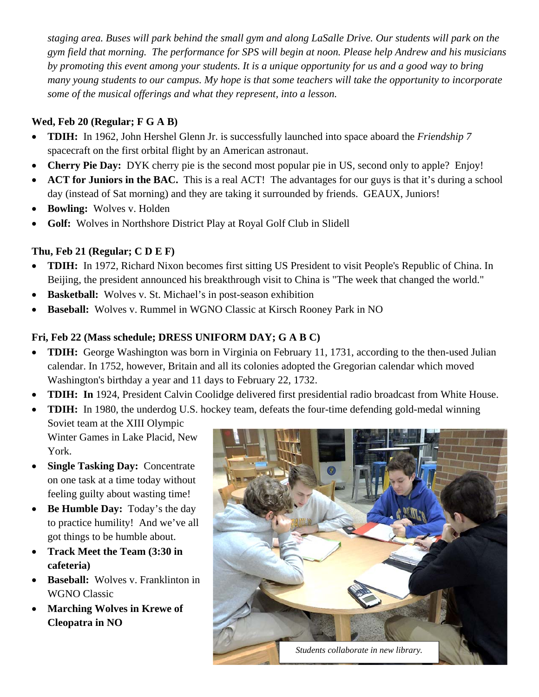*staging area. Buses will park behind the small gym and along LaSalle Drive. Our students will park on the gym field that morning. The performance for SPS will begin at noon. Please help Andrew and his musicians by promoting this event among your students. It is a unique opportunity for us and a good way to bring many young students to our campus. My hope is that some teachers will take the opportunity to incorporate some of the musical offerings and what they represent, into a lesson.*

### **Wed, Feb 20 (Regular; F G A B)**

- **TDIH:** In 1962, John Hershel Glenn Jr. is successfully launched into space aboard the *Friendship 7* spacecraft on the first orbital flight by an American astronaut.
- **Cherry Pie Day:** DYK cherry pie is the second most popular pie in US, second only to apple? Enjoy!
- **ACT for Juniors in the BAC.** This is a real ACT! The advantages for our guys is that it's during a school day (instead of Sat morning) and they are taking it surrounded by friends. GEAUX, Juniors!
- **Bowling:** Wolves v. Holden
- **Golf:** Wolves in Northshore District Play at Royal Golf Club in Slidell

## **Thu, Feb 21 (Regular; C D E F)**

- **TDIH:** In 1972, Richard Nixon becomes first sitting US President to visit People's Republic of China. In Beijing, the president announced his breakthrough visit to China is "The week that changed the world."
- **Basketball:**Wolves v. St. Michael's in post-season exhibition
- **Baseball:**Wolves v. Rummel in WGNO Classic at Kirsch Rooney Park in NO

# **Fri, Feb 22 (Mass schedule; DRESS UNIFORM DAY; G A B C)**

- **TDIH:** George Washington was born in Virginia on February 11, 1731, according to the then-used Julian calendar. In 1752, however, Britain and all its colonies adopted the Gregorian calendar which moved Washington's birthday a year and 11 days to February 22, 1732.
- **TDIH: In** 1924, President Calvin Coolidge delivered first presidential radio broadcast from White House.
- **TDIH:** In 1980, the underdog U.S. hockey team, defeats the four-time defending gold-medal winning
	- Soviet team at the XIII Olympic Winter Games in Lake Placid, New York.
- **Single Tasking Day:** Concentrate on one task at a time today without feeling guilty about wasting time!
- Be Humble Day: Today's the day to practice humility! And we've all got things to be humble about.
- **Track Meet the Team (3:30 in cafeteria)**
- Baseball: Wolves v. Franklinton in WGNO Classic
- **Marching Wolves in Krewe of Cleopatra in NO**

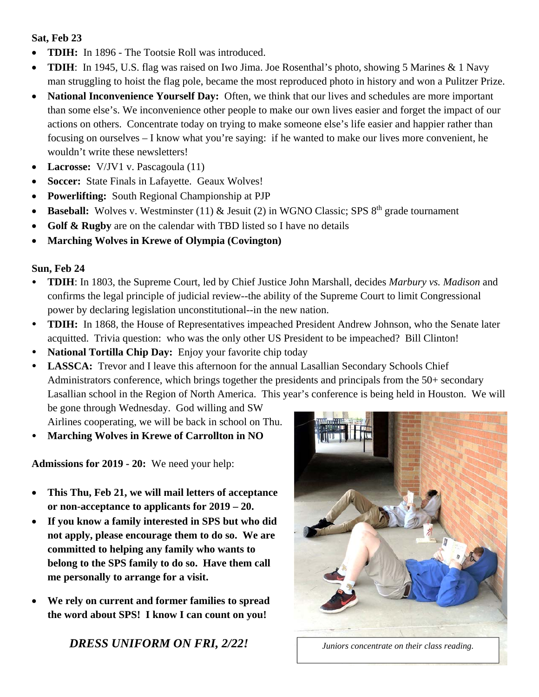#### **Sat, Feb 23**

- **TDIH:** In 1896 The Tootsie Roll was introduced.
- **TDIH**: In 1945, U.S. flag was raised on Iwo Jima. Joe Rosenthal's photo, showing 5 Marines & 1 Navy man struggling to hoist the flag pole, became the most reproduced photo in history and won a Pulitzer Prize.
- **National Inconvenience Yourself Day:** Often, we think that our lives and schedules are more important than some else's. We inconvenience other people to make our own lives easier and forget the impact of our actions on others. Concentrate today on trying to make someone else's life easier and happier rather than focusing on ourselves – I know what you're saying: if he wanted to make our lives more convenient, he wouldn't write these newsletters!
- **Lacrosse:** V/JV1 v. Pascagoula (11)
- **Soccer:** State Finals in Lafayette. Geaux Wolves!
- **Powerlifting:** South Regional Championship at PJP
- Baseball: Wolves v. Westminster (11) & Jesuit (2) in WGNO Classic; SPS 8<sup>th</sup> grade tournament
- **Golf & Rugby** are on the calendar with TBD listed so I have no details
- **Marching Wolves in Krewe of Olympia (Covington)**

#### **Sun, Feb 24**

- **TDIH**: In 1803, the Supreme Court, led by Chief Justice John Marshall, decides *Marbury vs. Madison* and confirms the legal principle of judicial review--the ability of the Supreme Court to limit Congressional power by declaring legislation unconstitutional--in the new nation.
- **TDIH:** In 1868, the House of Representatives impeached President Andrew Johnson, who the Senate later acquitted. Trivia question: who was the only other US President to be impeached? Bill Clinton!
- **National Tortilla Chip Day:** Enjoy your favorite chip today
- LASSCA: Trevor and I leave this afternoon for the annual Lasallian Secondary Schools Chief Administrators conference, which brings together the presidents and principals from the 50+ secondary Lasallian school in the Region of North America. This year's conference is being held in Houston. We will be gone through Wednesday. God willing and SW

Airlines cooperating, we will be back in school on Thu.

**Marching Wolves in Krewe of Carrollton in NO** 

**Admissions for 2019 - 20:** We need your help:

- **This Thu, Feb 21, we will mail letters of acceptance or non-acceptance to applicants for 2019 – 20.**
- **If you know a family interested in SPS but who did not apply, please encourage them to do so. We are committed to helping any family who wants to belong to the SPS family to do so. Have them call me personally to arrange for a visit.**
- **We rely on current and former families to spread the word about SPS! I know I can count on you!**

*DRESS UNIFORM ON FRI, 2/22! Juniors concentrate on their class reading.* 

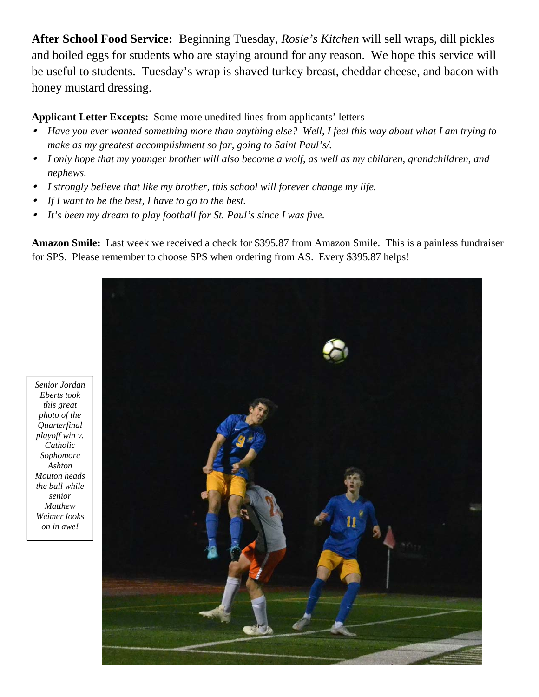**After School Food Service:** Beginning Tuesday, *Rosie's Kitchen* will sell wraps, dill pickles and boiled eggs for students who are staying around for any reason. We hope this service will be useful to students. Tuesday's wrap is shaved turkey breast, cheddar cheese, and bacon with honey mustard dressing.

**Applicant Letter Excepts:** Some more unedited lines from applicants' letters

- *Have you ever wanted something more than anything else? Well, I feel this way about what I am trying to make as my greatest accomplishment so far, going to Saint Paul's/.*
- *I only hope that my younger brother will also become a wolf, as well as my children, grandchildren, and nephews.*
- 0 *I strongly believe that like my brother, this school will forever change my life.*
- $\bullet$ *If I want to be the best, I have to go to the best.*
- $\bullet$ *It's been my dream to play football for St. Paul's since I was five.*

**Amazon Smile:** Last week we received a check for \$395.87 from Amazon Smile. This is a painless fundraiser for SPS. Please remember to choose SPS when ordering from AS. Every \$395.87 helps!



*Senior Jordan Eberts took this great photo of the Quarterfinal playoff win v. Catholic Sophomore Ashton Mouton heads the ball while senior Matthew Weimer looks on in awe!*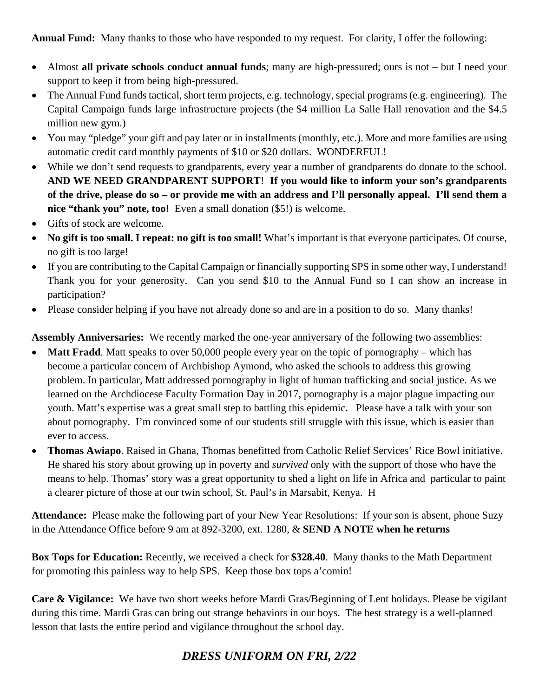**Annual Fund:** Many thanks to those who have responded to my request. For clarity, I offer the following:

- Almost **all private schools conduct annual funds**; many are high-pressured; ours is not but I need your support to keep it from being high-pressured.
- The Annual Fund funds tactical, short term projects, e.g. technology, special programs (e.g. engineering). The Capital Campaign funds large infrastructure projects (the \$4 million La Salle Hall renovation and the \$4.5 million new gym.)
- You may "pledge" your gift and pay later or in installments (monthly, etc.). More and more families are using automatic credit card monthly payments of \$10 or \$20 dollars. WONDERFUL!
- While we don't send requests to grandparents, every year a number of grandparents do donate to the school. **AND WE NEED GRANDPARENT SUPPORT**! **If you would like to inform your son's grandparents of the drive, please do so – or provide me with an address and I'll personally appeal. I'll send them a nice "thank you" note, too!** Even a small donation (\$5!) is welcome.
- Gifts of stock are welcome.
- **No gift is too small. I repeat: no gift is too small!** What's important is that everyone participates. Of course, no gift is too large!
- If you are contributing to the Capital Campaign or financially supporting SPS in some other way, I understand! Thank you for your generosity. Can you send \$10 to the Annual Fund so I can show an increase in participation?
- Please consider helping if you have not already done so and are in a position to do so. Many thanks!

**Assembly Anniversaries:** We recently marked the one-year anniversary of the following two assemblies:

- **Matt Fradd**. Matt speaks to over 50,000 people every year on the topic of pornography which has become a particular concern of Archbishop Aymond, who asked the schools to address this growing problem. In particular, Matt addressed pornography in light of human trafficking and social justice. As we learned on the Archdiocese Faculty Formation Day in 2017, pornography is a major plague impacting our youth. Matt's expertise was a great small step to battling this epidemic. Please have a talk with your son about pornography. I'm convinced some of our students still struggle with this issue, which is easier than ever to access.
- **Thomas Awiapo**. Raised in Ghana, Thomas benefitted from Catholic Relief Services' Rice Bowl initiative. He shared his story about growing up in poverty and *survived* only with the support of those who have the means to help. Thomas' story was a great opportunity to shed a light on life in Africa and particular to paint a clearer picture of those at our twin school, St. Paul's in Marsabit, Kenya. H

**Attendance:** Please make the following part of your New Year Resolutions: If your son is absent, phone Suzy in the Attendance Office before 9 am at 892-3200, ext. 1280, & **SEND A NOTE when he returns** 

**Box Tops for Education:** Recently, we received a check for **\$328.40**. Many thanks to the Math Department for promoting this painless way to help SPS. Keep those box tops a'comin!

**Care & Vigilance:** We have two short weeks before Mardi Gras/Beginning of Lent holidays. Please be vigilant during this time. Mardi Gras can bring out strange behaviors in our boys. The best strategy is a well-planned lesson that lasts the entire period and vigilance throughout the school day.

# *DRESS UNIFORM ON FRI, 2/22*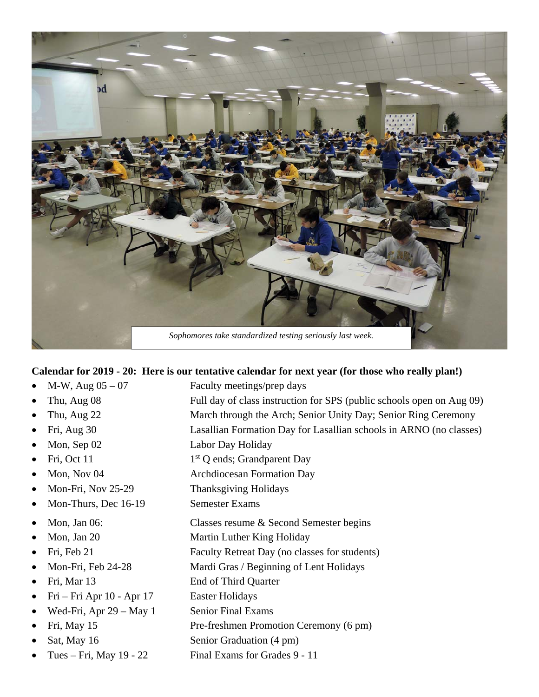

#### **Calendar for 2019 - 20: Here is our tentative calendar for next year (for those who really plan!)**

- M-W, Aug 05 07 Faculty meetings/prep days
- 
- 
- 
- 
- 
- 
- 
- Mon-Thurs, Dec 16-19 Semester Exams
- 
- 
- 
- 
- 
- Fri Fri Apr 10 Apr 17 Easter Holidays
- Wed-Fri, Apr  $29 May 1$  Senior Final Exams
- 
- 
- 
- Thu, Aug 08 Full day of class instruction for SPS (public schools open on Aug 09)
- Thu, Aug 22 March through the Arch; Senior Unity Day; Senior Ring Ceremony
- Fri, Aug 30 Lasallian Formation Day for Lasallian schools in ARNO (no classes)
- Mon, Sep 02 Labor Day Holiday
- Fri, Oct 11 1st Q ends; Grandparent Day
- Mon, Nov 04 Archdiocesan Formation Day
- Mon-Fri, Nov 25-29 Thanksgiving Holidays
	-
- Mon, Jan 06: Classes resume & Second Semester begins
- Mon, Jan 20 Martin Luther King Holiday
- Fri, Feb 21 Faculty Retreat Day (no classes for students)
	- Mon-Fri, Feb 24-28 Mardi Gras / Beginning of Lent Holidays
	- Fri, Mar 13 End of Third Quarter
		- -
	- Fri, May 15 Pre-freshmen Promotion Ceremony (6 pm)
	- Sat, May 16 Senior Graduation (4 pm)
	- Tues Fri, May 19 22 Final Exams for Grades 9 11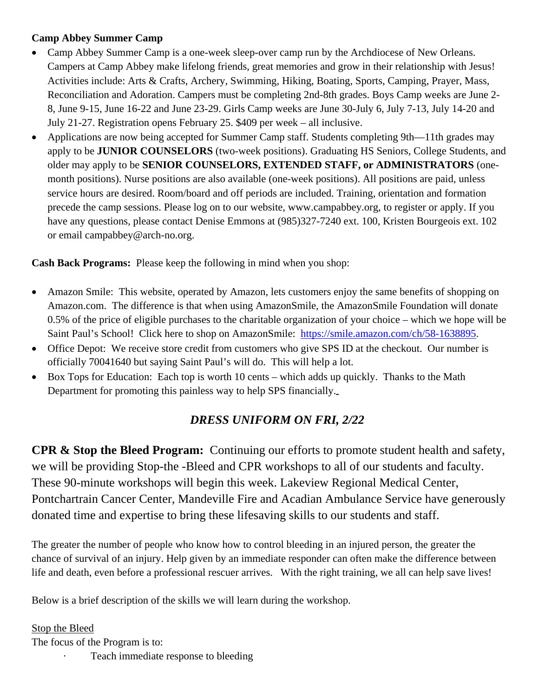#### **Camp Abbey Summer Camp**

- Camp Abbey Summer Camp is a one-week sleep-over camp run by the Archdiocese of New Orleans. Campers at Camp Abbey make lifelong friends, great memories and grow in their relationship with Jesus! Activities include: Arts & Crafts, Archery, Swimming, Hiking, Boating, Sports, Camping, Prayer, Mass, Reconciliation and Adoration. Campers must be completing 2nd-8th grades. Boys Camp weeks are June 2- 8, June 9-15, June 16-22 and June 23-29. Girls Camp weeks are June 30-July 6, July 7-13, July 14-20 and July 21-27. Registration opens February 25. \$409 per week – all inclusive.
- Applications are now being accepted for Summer Camp staff. Students completing 9th—11th grades may apply to be **JUNIOR COUNSELORS** (two-week positions). Graduating HS Seniors, College Students, and older may apply to be **SENIOR COUNSELORS, EXTENDED STAFF, or ADMINISTRATORS** (onemonth positions). Nurse positions are also available (one-week positions). All positions are paid, unless service hours are desired. Room/board and off periods are included. Training, orientation and formation precede the camp sessions. Please log on to our website, www.campabbey.org, to register or apply. If you have any questions, please contact Denise Emmons at  $(985)327-7240$  ext. 100, Kristen Bourgeois ext. 102 or email campabbey@arch-no.org.

**Cash Back Programs:** Please keep the following in mind when you shop:

- Amazon Smile: This website, operated by Amazon, lets customers enjoy the same benefits of shopping on Amazon.com. The difference is that when using AmazonSmile, the AmazonSmile Foundation will donate 0.5% of the price of eligible purchases to the charitable organization of your choice – which we hope will be Saint Paul's School! Click here to shop on AmazonSmile: https://smile.amazon.com/ch/58-1638895.
- Office Depot: We receive store credit from customers who give SPS ID at the checkout. Our number is officially 70041640 but saying Saint Paul's will do. This will help a lot.
- Box Tops for Education: Each top is worth 10 cents which adds up quickly. Thanks to the Math Department for promoting this painless way to help SPS financially.

# *DRESS UNIFORM ON FRI, 2/22*

**CPR & Stop the Bleed Program:** Continuing our efforts to promote student health and safety, we will be providing Stop-the -Bleed and CPR workshops to all of our students and faculty. These 90-minute workshops will begin this week. Lakeview Regional Medical Center, Pontchartrain Cancer Center, Mandeville Fire and Acadian Ambulance Service have generously donated time and expertise to bring these lifesaving skills to our students and staff.

The greater the number of people who know how to control bleeding in an injured person, the greater the chance of survival of an injury. Help given by an immediate responder can often make the difference between life and death, even before a professional rescuer arrives. With the right training, we all can help save lives!

Below is a brief description of the skills we will learn during the workshop.

Stop the Bleed The focus of the Program is to:

Teach immediate response to bleeding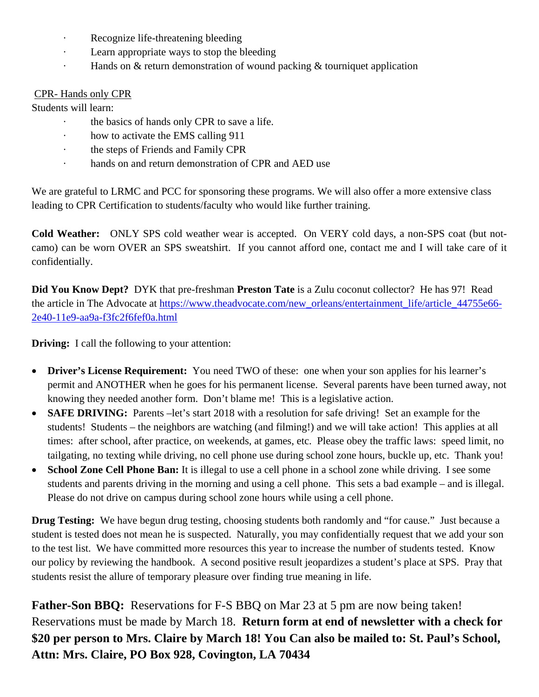- Recognize life-threatening bleeding
- · Learn appropriate ways to stop the bleeding
- · Hands on & return demonstration of wound packing & tourniquet application

#### CPR- Hands only CPR

Students will learn:

- the basics of hands only CPR to save a life.
- · how to activate the EMS calling 911
- the steps of Friends and Family CPR
- · hands on and return demonstration of CPR and AED use

We are grateful to LRMC and PCC for sponsoring these programs. We will also offer a more extensive class leading to CPR Certification to students/faculty who would like further training.

**Cold Weather:** ONLY SPS cold weather wear is accepted. On VERY cold days, a non-SPS coat (but notcamo) can be worn OVER an SPS sweatshirt. If you cannot afford one, contact me and I will take care of it confidentially.

**Did You Know Dept?** DYK that pre-freshman **Preston Tate** is a Zulu coconut collector? He has 97! Read the article in The Advocate at https://www.theadvocate.com/new\_orleans/entertainment\_life/article\_44755e66-2e40-11e9-aa9a-f3fc2f6fef0a.html

**Driving:** I call the following to your attention:

- Driver's License Requirement: You need TWO of these: one when your son applies for his learner's permit and ANOTHER when he goes for his permanent license. Several parents have been turned away, not knowing they needed another form. Don't blame me! This is a legislative action.
- **SAFE DRIVING:** Parents –let's start 2018 with a resolution for safe driving! Set an example for the students! Students – the neighbors are watching (and filming!) and we will take action! This applies at all times: after school, after practice, on weekends, at games, etc. Please obey the traffic laws: speed limit, no tailgating, no texting while driving, no cell phone use during school zone hours, buckle up, etc. Thank you!
- School Zone Cell Phone Ban: It is illegal to use a cell phone in a school zone while driving. I see some students and parents driving in the morning and using a cell phone. This sets a bad example – and is illegal. Please do not drive on campus during school zone hours while using a cell phone.

**Drug Testing:** We have begun drug testing, choosing students both randomly and "for cause." Just because a student is tested does not mean he is suspected. Naturally, you may confidentially request that we add your son to the test list. We have committed more resources this year to increase the number of students tested. Know our policy by reviewing the handbook. A second positive result jeopardizes a student's place at SPS. Pray that students resist the allure of temporary pleasure over finding true meaning in life.

**Father-Son BBQ:** Reservations for F-S BBQ on Mar 23 at 5 pm are now being taken! Reservations must be made by March 18. **Return form at end of newsletter with a check for \$20 per person to Mrs. Claire by March 18! You Can also be mailed to: St. Paul's School, Attn: Mrs. Claire, PO Box 928, Covington, LA 70434**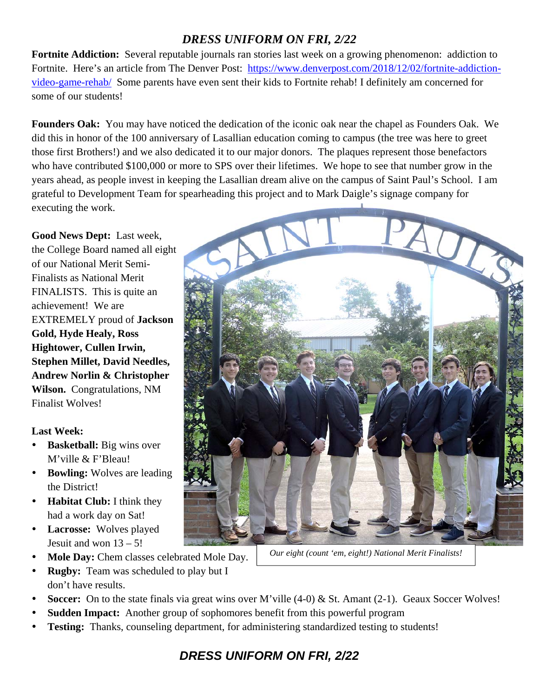# *DRESS UNIFORM ON FRI, 2/22*

**Fortnite Addiction:** Several reputable journals ran stories last week on a growing phenomenon: addiction to Fortnite. Here's an article from The Denver Post: https://www.denverpost.com/2018/12/02/fortnite-addictionvideo-game-rehab/ Some parents have even sent their kids to Fortnite rehab! I definitely am concerned for some of our students!

**Founders Oak:** You may have noticed the dedication of the iconic oak near the chapel as Founders Oak. We did this in honor of the 100 anniversary of Lasallian education coming to campus (the tree was here to greet those first Brothers!) and we also dedicated it to our major donors. The plaques represent those benefactors who have contributed \$100,000 or more to SPS over their lifetimes. We hope to see that number grow in the years ahead, as people invest in keeping the Lasallian dream alive on the campus of Saint Paul's School. I am grateful to Development Team for spearheading this project and to Mark Daigle's signage company for executing the work.

**Good News Dept:** Last week, the College Board named all eight of our National Merit Semi-Finalists as National Merit FINALISTS. This is quite an achievement! We are EXTREMELY proud of **Jackson Gold, Hyde Healy, Ross Hightower, Cullen Irwin, Stephen Millet, David Needles, Andrew Norlin & Christopher Wilson.** Congratulations, NM Finalist Wolves!

#### **Last Week:**

- **•** Basketball: Big wins over M'ville & F'Bleau!
- **Bowling:** Wolves are leading the District!
- **Habitat Club:** I think they had a work day on Sat!
- **Lacrosse:** Wolves played Jesuit and won  $13 - 5!$
- **Mole Day:** Chem classes celebrated Mole Day.
- **Rugby:** Team was scheduled to play but I don't have results.
- **Soccer:** On to the state finals via great wins over M'ville (4-0) & St. Amant (2-1). Geaux Soccer Wolves!
- **Sudden Impact:** Another group of sophomores benefit from this powerful program
- **Testing:** Thanks, counseling department, for administering standardized testing to students!



*Our eight (count 'em, eight!) National Merit Finalists!*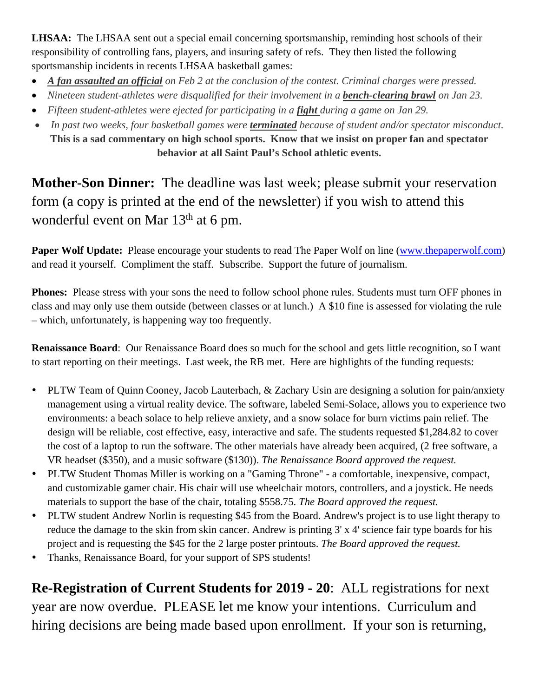**LHSAA:** The LHSAA sent out a special email concerning sportsmanship, reminding host schools of their responsibility of controlling fans, players, and insuring safety of refs. They then listed the following sportsmanship incidents in recents LHSAA basketball games:

- *A fan assaulted an official on Feb 2 at the conclusion of the contest. Criminal charges were pressed.*
- Nineteen student-athletes were disqualified for their involvement in a **bench-clearing brawl** on Jan 23.
- *Fifteen student-athletes were ejected for participating in a fight during a game on Jan 29.*
- *In past two weeks, four basketball games were terminated because of student and/or spectator misconduct.* **This is a sad commentary on high school sports. Know that we insist on proper fan and spectator behavior at all Saint Paul's School athletic events.**

**Mother-Son Dinner:** The deadline was last week; please submit your reservation form (a copy is printed at the end of the newsletter) if you wish to attend this wonderful event on Mar  $13<sup>th</sup>$  at 6 pm.

**Paper Wolf Update:** Please encourage your students to read The Paper Wolf on line (www.thepaperwolf.com) and read it yourself. Compliment the staff. Subscribe. Support the future of journalism.

**Phones:** Please stress with your sons the need to follow school phone rules. Students must turn OFF phones in class and may only use them outside (between classes or at lunch.) A \$10 fine is assessed for violating the rule – which, unfortunately, is happening way too frequently.

**Renaissance Board**: Our Renaissance Board does so much for the school and gets little recognition, so I want to start reporting on their meetings. Last week, the RB met. Here are highlights of the funding requests:

- PLTW Team of Quinn Cooney, Jacob Lauterbach, & Zachary Usin are designing a solution for pain/anxiety management using a virtual reality device. The software, labeled Semi-Solace, allows you to experience two environments: a beach solace to help relieve anxiety, and a snow solace for burn victims pain relief. The design will be reliable, cost effective, easy, interactive and safe. The students requested \$1,284.82 to cover the cost of a laptop to run the software. The other materials have already been acquired, (2 free software, a VR headset (\$350), and a music software (\$130)). *The Renaissance Board approved the request.*
- PLTW Student Thomas Miller is working on a "Gaming Throne" a comfortable, inexpensive, compact, and customizable gamer chair. His chair will use wheelchair motors, controllers, and a joystick. He needs materials to support the base of the chair, totaling \$558.75. *The Board approved the request.*
- PLTW student Andrew Norlin is requesting \$45 from the Board. Andrew's project is to use light therapy to reduce the damage to the skin from skin cancer. Andrew is printing 3' x 4' science fair type boards for his project and is requesting the \$45 for the 2 large poster printouts. *The Board approved the request.*
- Thanks, Renaissance Board, for your support of SPS students!

**Re-Registration of Current Students for 2019 - 20**: ALL registrations for next year are now overdue. PLEASE let me know your intentions. Curriculum and hiring decisions are being made based upon enrollment. If your son is returning,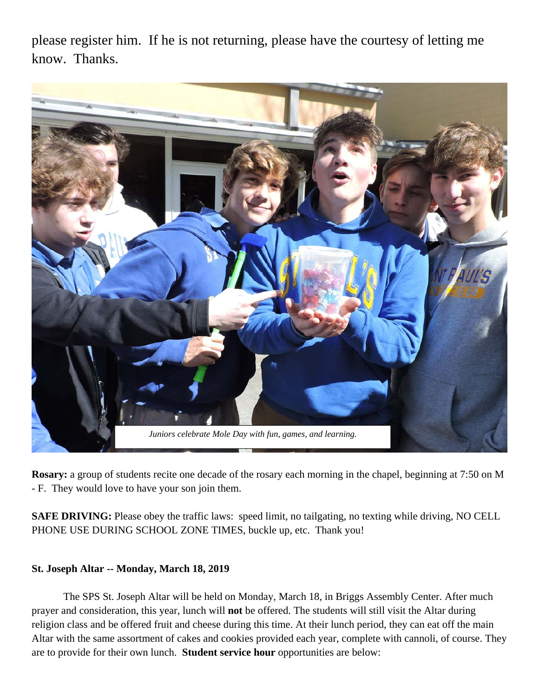please register him. If he is not returning, please have the courtesy of letting me know. Thanks.



**Rosary:** a group of students recite one decade of the rosary each morning in the chapel, beginning at 7:50 on M - F. They would love to have your son join them.

**SAFE DRIVING:** Please obey the traffic laws: speed limit, no tailgating, no texting while driving, NO CELL PHONE USE DURING SCHOOL ZONE TIMES, buckle up, etc. Thank you!

#### **St. Joseph Altar -- Monday, March 18, 2019**

 The SPS St. Joseph Altar will be held on Monday, March 18, in Briggs Assembly Center. After much prayer and consideration, this year, lunch will **not** be offered. The students will still visit the Altar during religion class and be offered fruit and cheese during this time. At their lunch period, they can eat off the main Altar with the same assortment of cakes and cookies provided each year, complete with cannoli, of course. They are to provide for their own lunch. **Student service hour** opportunities are below: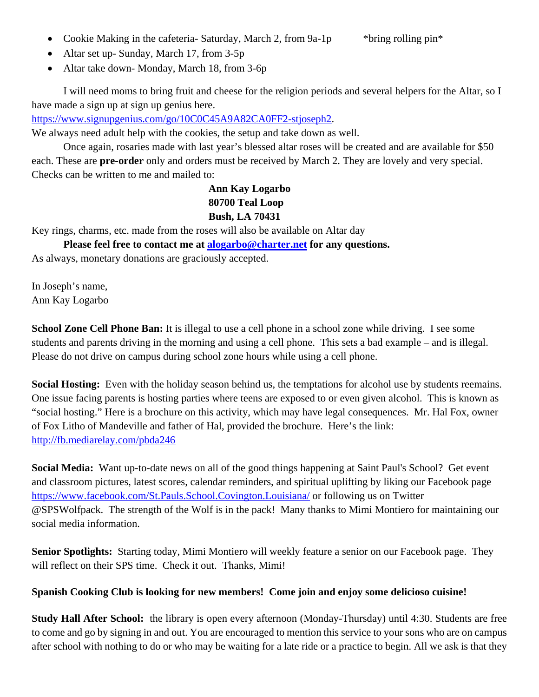- Cookie Making in the cafeteria- Saturday, March 2, from 9a-1p \* \* \* \* \* bring rolling pin \*
- 

- Altar set up- Sunday, March 17, from 3-5p
- Altar take down-Monday, March 18, from 3-6p

 I will need moms to bring fruit and cheese for the religion periods and several helpers for the Altar, so I have made a sign up at sign up genius here.

https://www.signupgenius.com/go/10C0C45A9A82CA0FF2-stjoseph2.

We always need adult help with the cookies, the setup and take down as well.

 Once again, rosaries made with last year's blessed altar roses will be created and are available for \$50 each. These are **pre-order** only and orders must be received by March 2. They are lovely and very special. Checks can be written to me and mailed to:

### **Ann Kay Logarbo 80700 Teal Loop Bush, LA 70431**

Key rings, charms, etc. made from the roses will also be available on Altar day

 **Please feel free to contact me at alogarbo@charter.net for any questions.** 

As always, monetary donations are graciously accepted.

In Joseph's name, Ann Kay Logarbo

**School Zone Cell Phone Ban:** It is illegal to use a cell phone in a school zone while driving. I see some students and parents driving in the morning and using a cell phone. This sets a bad example – and is illegal. Please do not drive on campus during school zone hours while using a cell phone.

**Social Hosting:** Even with the holiday season behind us, the temptations for alcohol use by students reemains. One issue facing parents is hosting parties where teens are exposed to or even given alcohol. This is known as "social hosting." Here is a brochure on this activity, which may have legal consequences. Mr. Hal Fox, owner of Fox Litho of Mandeville and father of Hal, provided the brochure. Here's the link: http://fb.mediarelay.com/pbda246

**Social Media:** Want up-to-date news on all of the good things happening at Saint Paul's School? Get event and classroom pictures, latest scores, calendar reminders, and spiritual uplifting by liking our Facebook page https://www.facebook.com/St.Pauls.School.Covington.Louisiana/ or following us on Twitter @SPSWolfpack. The strength of the Wolf is in the pack! Many thanks to Mimi Montiero for maintaining our social media information.

**Senior Spotlights:** Starting today, Mimi Montiero will weekly feature a senior on our Facebook page. They will reflect on their SPS time. Check it out. Thanks, Mimi!

#### **Spanish Cooking Club is looking for new members! Come join and enjoy some delicioso cuisine!**

**Study Hall After School:** the library is open every afternoon (Monday-Thursday) until 4:30. Students are free to come and go by signing in and out. You are encouraged to mention this service to your sons who are on campus after school with nothing to do or who may be waiting for a late ride or a practice to begin. All we ask is that they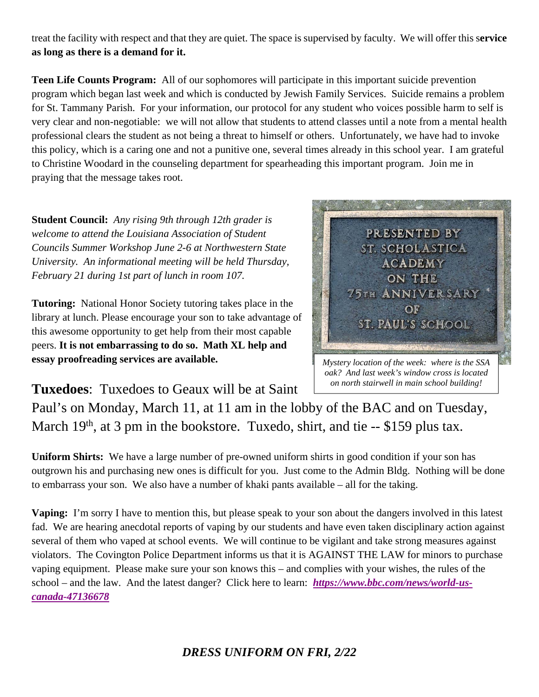treat the facility with respect and that they are quiet. The space is supervised by faculty. We will offer this s**ervice as long as there is a demand for it.** 

**Teen Life Counts Program:** All of our sophomores will participate in this important suicide prevention program which began last week and which is conducted by Jewish Family Services. Suicide remains a problem for St. Tammany Parish. For your information, our protocol for any student who voices possible harm to self is very clear and non-negotiable: we will not allow that students to attend classes until a note from a mental health professional clears the student as not being a threat to himself or others. Unfortunately, we have had to invoke this policy, which is a caring one and not a punitive one, several times already in this school year. I am grateful to Christine Woodard in the counseling department for spearheading this important program. Join me in praying that the message takes root.

**Student Council:** *Any rising 9th through 12th grader is welcome to attend the Louisiana Association of Student Councils Summer Workshop June 2-6 at Northwestern State University. An informational meeting will be held Thursday, February 21 during 1st part of lunch in room 107.* 

**Tutoring:** National Honor Society tutoring takes place in the library at lunch. Please encourage your son to take advantage of this awesome opportunity to get help from their most capable peers. **It is not embarrassing to do so. Math XL help and essay proofreading services are available.** 



*Mystery location of the week: where is the SSA oak? And last week's window cross is located on north stairwell in main school building!* 

**Tuxedoes**: Tuxedoes to Geaux will be at Saint

Paul's on Monday, March 11, at 11 am in the lobby of the BAC and on Tuesday, March  $19<sup>th</sup>$ , at 3 pm in the bookstore. Tuxedo, shirt, and tie  $-$  \$159 plus tax.

**Uniform Shirts:** We have a large number of pre-owned uniform shirts in good condition if your son has outgrown his and purchasing new ones is difficult for you. Just come to the Admin Bldg. Nothing will be done to embarrass your son. We also have a number of khaki pants available – all for the taking.

**Vaping:** I'm sorry I have to mention this, but please speak to your son about the dangers involved in this latest fad. We are hearing anecdotal reports of vaping by our students and have even taken disciplinary action against several of them who vaped at school events. We will continue to be vigilant and take strong measures against violators. The Covington Police Department informs us that it is AGAINST THE LAW for minors to purchase vaping equipment. Please make sure your son knows this – and complies with your wishes, the rules of the school – and the law. And the latest danger? Click here to learn: *https://www.bbc.com/news/world-uscanada-47136678*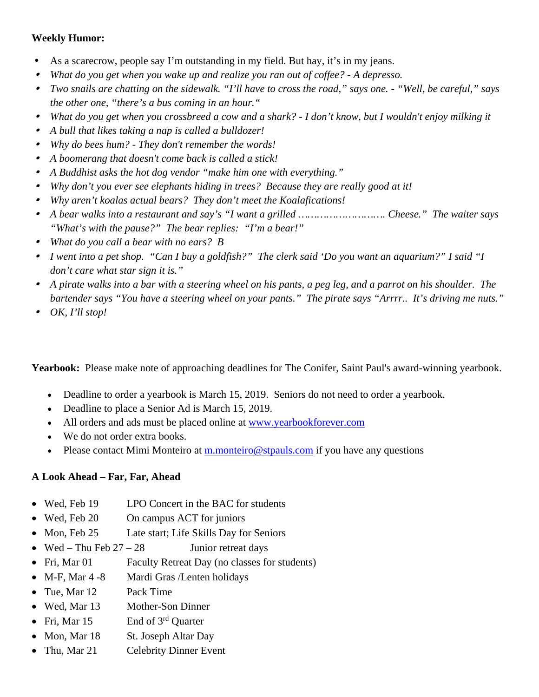#### **Weekly Humor:**

- As a scarecrow, people say I'm outstanding in my field. But hay, it's in my jeans.
- $\bullet$ *What do you get when you wake up and realize you ran out of coffee? - A depresso.*
- *Two snails are chatting on the sidewalk. "I'll have to cross the road," says one. "Well, be careful," says the other one, "there's a bus coming in an hour."*
- *What do you get when you crossbreed a cow and a shark? I don't know, but I wouldn't enjoy milking it*
- *A bull that likes taking a nap is called a bulldozer!*
- *Why do bees hum? They don't remember the words!*
- *A boomerang that doesn't come back is called a stick!*
- *A Buddhist asks the hot dog vendor "make him one with everything."*
- *Why don't you ever see elephants hiding in trees? Because they are really good at it!*
- *Why aren't koalas actual bears? They don't meet the Koalafications!*
- *A bear walks into a restaurant and say's "I want a grilled ………………………. Cheese." The waiter says "What's with the pause?" The bear replies: "I'm a bear!"*
- *What do you call a bear with no ears? B*
- *I went into a pet shop. "Can I buy a goldfish?" The clerk said 'Do you want an aquarium?" I said "I don't care what star sign it is."*
- *A pirate walks into a bar with a steering wheel on his pants, a peg leg, and a parrot on his shoulder. The bartender says "You have a steering wheel on your pants." The pirate says "Arrrr.. It's driving me nuts."*
- *OK, I'll stop!*

Yearbook: Please make note of approaching deadlines for The Conifer, Saint Paul's award-winning yearbook.

- Deadline to order a yearbook is March 15, 2019. Seniors do not need to order a yearbook.
- Deadline to place a Senior Ad is March 15, 2019.
- All orders and ads must be placed online at www.yearbookforever.com
- We do not order extra books.
- Please contact Mimi Monteiro at m.monteiro@stpauls.com if you have any questions

## **A Look Ahead – Far, Far, Ahead**

- Wed, Feb 19 LPO Concert in the BAC for students
- Wed, Feb 20 On campus ACT for juniors
- Mon, Feb 25 Late start; Life Skills Day for Seniors
- Wed Thu Feb  $27 28$  Junior retreat days
- Fri, Mar 01 Faculty Retreat Day (no classes for students)
- M-F, Mar 4 -8 Mardi Gras /Lenten holidays
- Tue, Mar 12 Pack Time
- Wed, Mar 13 Mother-Son Dinner
- Fri, Mar  $15$  End of  $3<sup>rd</sup>$  Quarter
- Mon, Mar 18 St. Joseph Altar Day
- Thu, Mar 21 Celebrity Dinner Event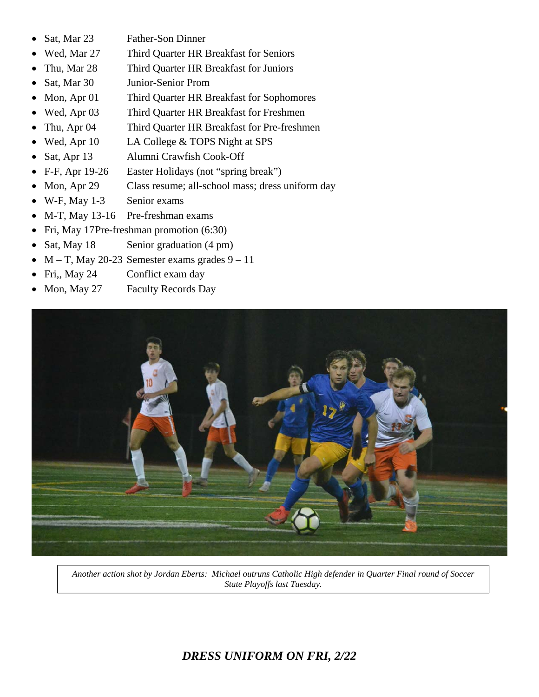- Sat, Mar 23 Father-Son Dinner
- Wed, Mar 27 Third Quarter HR Breakfast for Seniors
- Thu, Mar 28 Third Quarter HR Breakfast for Juniors
- Sat, Mar 30 Junior-Senior Prom
- Mon, Apr 01 Third Quarter HR Breakfast for Sophomores
- Wed, Apr 03 Third Quarter HR Breakfast for Freshmen
- Thu, Apr 04 Third Quarter HR Breakfast for Pre-freshmen
- Wed, Apr 10 LA College & TOPS Night at SPS
- Sat, Apr 13 Alumni Crawfish Cook-Off
- F-F, Apr 19-26 Easter Holidays (not "spring break")
- Mon, Apr 29 Class resume; all-school mass; dress uniform day
- W-F, May 1-3 Senior exams
- M-T, May 13-16 Pre-freshman exams
- Fri, May 17 Pre-freshman promotion (6:30)
- Sat, May 18 Senior graduation (4 pm)
- $\bullet$  M T, May 20-23 Semester exams grades  $9-11$
- Fri,, May 24 Conflict exam day
- Mon, May 27 Faculty Records Day



*Another action shot by Jordan Eberts: Michael outruns Catholic High defender in Quarter Final round of Soccer State Playoffs last Tuesday.* 

# *DRESS UNIFORM ON FRI, 2/22*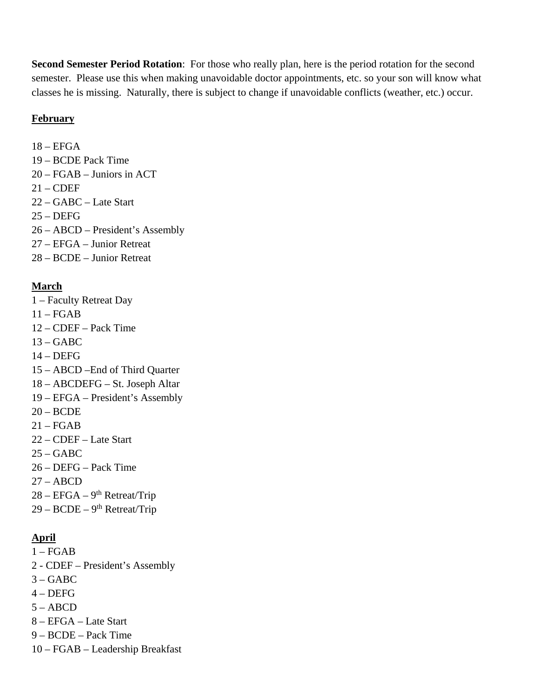**Second Semester Period Rotation**: For those who really plan, here is the period rotation for the second semester. Please use this when making unavoidable doctor appointments, etc. so your son will know what classes he is missing. Naturally, there is subject to change if unavoidable conflicts (weather, etc.) occur.

#### **February**

 $18 - EFGA$ 19 – BCDE Pack Time 20 – FGAB – Juniors in ACT 21 – CDEF 22 – GABC – Late Start  $25 - DEFG$ 

- 26 ABCD President's Assembly
- 27 EFGA Junior Retreat
- 28 BCDE Junior Retreat

# **March**

- 1 Faculty Retreat Day
- 11 FGAB
- 12 CDEF Pack Time
- $13 GABC$
- $14 DEFG$
- 15 ABCD –End of Third Quarter
- 18 ABCDEFG St. Joseph Altar
- 19 EFGA President's Assembly
- 20 BCDE
- $21 FGAB$
- 22 CDEF Late Start
- $25 GABC$
- 26 DEFG Pack Time
- $27 ABCD$
- $28 EFGA 9<sup>th</sup> Retreat/Trip$
- $29 BCDE 9<sup>th</sup> Retreat/Trip$

# **April**

- $1 FGAB$
- 2 CDEF President's Assembly
- $3 GABC$
- $4 DEFG$
- $5 ABCD$
- 8 EFGA Late Start
- 9 BCDE Pack Time
- 10 FGAB Leadership Breakfast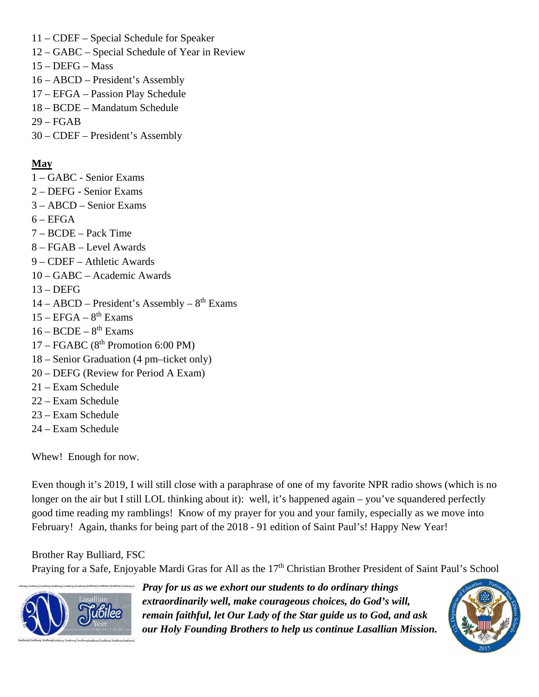- 11 CDEF Special Schedule for Speaker
- 12 GABC Special Schedule of Year in Review
- 15 DEFG Mass
- 16 ABCD President's Assembly
- 17 EFGA Passion Play Schedule
- 18 BCDE Mandatum Schedule
- 29 FGAB
- 30 CDEF President's Assembly

### **May**

- 1 GABC Senior Exams
- 2 DEFG Senior Exams
- 3 ABCD Senior Exams
- $6 EFGA$
- 7 BCDE Pack Time
- 8 FGAB Level Awards
- 9 CDEF Athletic Awards
- 10 GABC Academic Awards
- 13 DEFG
- $14 ABCD President's Assembly 8<sup>th</sup> Exams$
- $15 EFGA 8$ <sup>th</sup> Exams
- $16 BCDE 8<sup>th</sup>$  Exams
- $17 FGABC$  ( $8<sup>th</sup>$  Promotion 6:00 PM)
- 18 Senior Graduation (4 pm–ticket only)
- 20 DEFG (Review for Period A Exam)
- 21 Exam Schedule
- 22 Exam Schedule
- 23 Exam Schedule
- 24 Exam Schedule

Whew! Enough for now.

Even though it's 2019, I will still close with a paraphrase of one of my favorite NPR radio shows (which is no longer on the air but I still LOL thinking about it): well, it's happened again – you've squandered perfectly good time reading my ramblings! Know of my prayer for you and your family, especially as we move into February! Again, thanks for being part of the 2018 - 91 edition of Saint Paul's! Happy New Year!

Brother Ray Bulliard, FSC

Praying for a Safe, Enjoyable Mardi Gras for All as the 17<sup>th</sup> Christian Brother President of Saint Paul's School



*Pray for us as we exhort our students to do ordinary things extraordinarily well, make courageous choices, do God's will, remain faithful, let Our Lady of the Star guide us to God, and ask our Holy Founding Brothers to help us continue Lasallian Mission.*